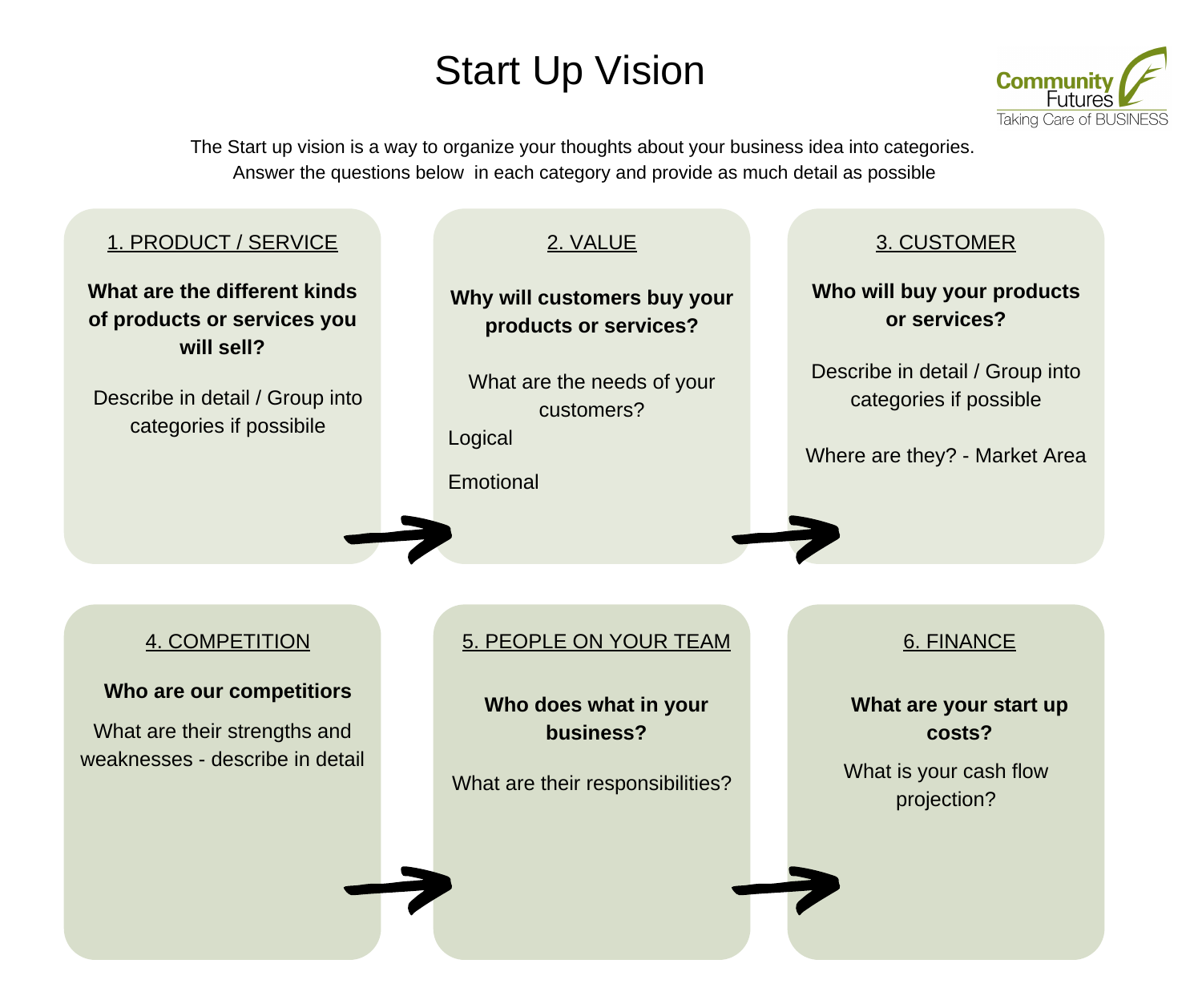## Start Up Vision



The Start up vision is a way to organize your thoughts about your business idea into categories. Answer the questions below in each category and provide as much detail as possible

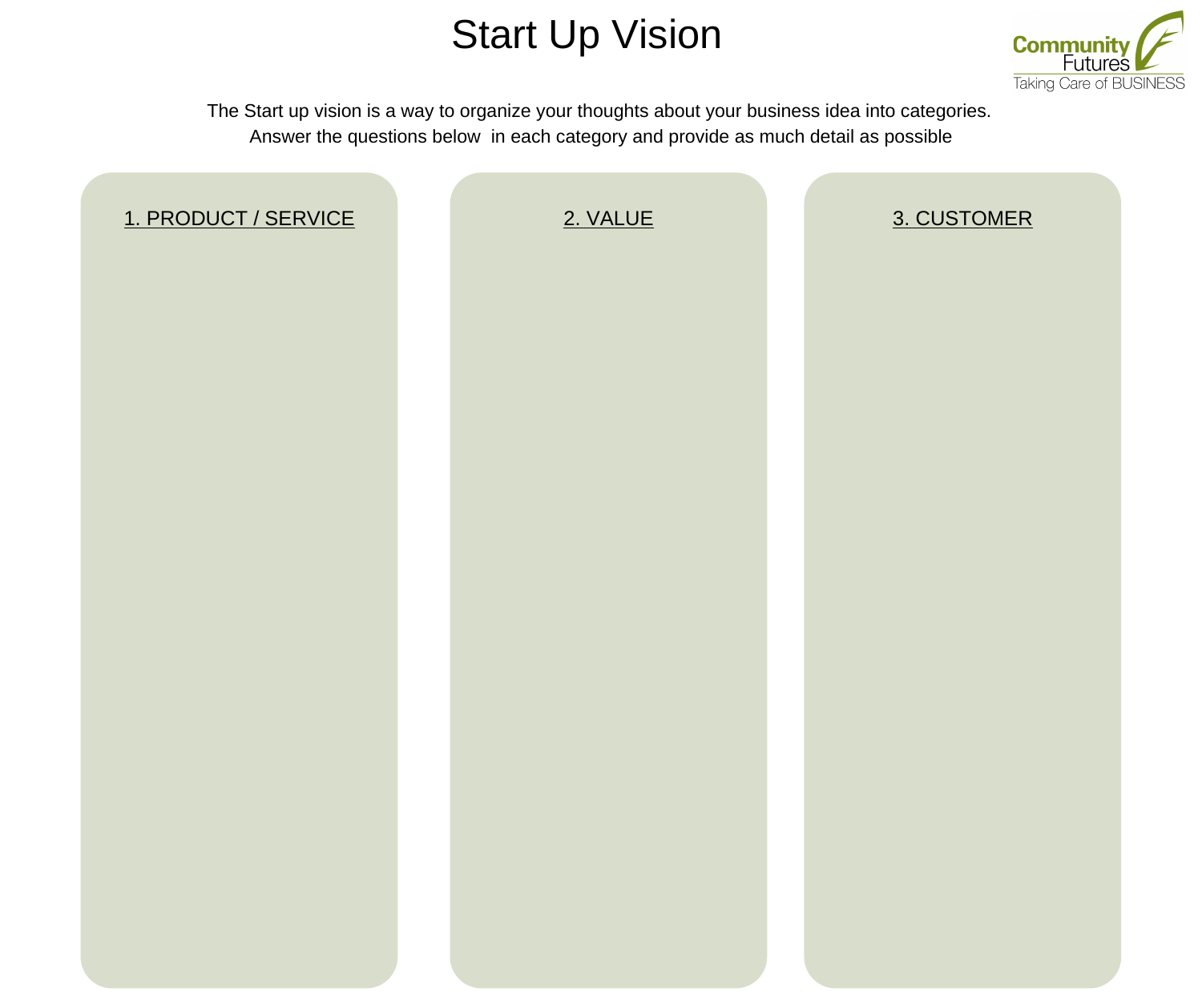## Start Up Vision



The Start up vision is a way to organize your thoughts about your business idea into categories. Answer the questions below in each category and provide as much detail as possible

| 1. PRODUCT / SERVICE | 2. VALUE | 3. CUSTOMER |
|----------------------|----------|-------------|
|                      |          |             |
|                      |          |             |
|                      |          |             |
|                      |          |             |
|                      |          |             |
|                      |          |             |
|                      |          |             |
|                      |          |             |
|                      |          |             |
|                      |          |             |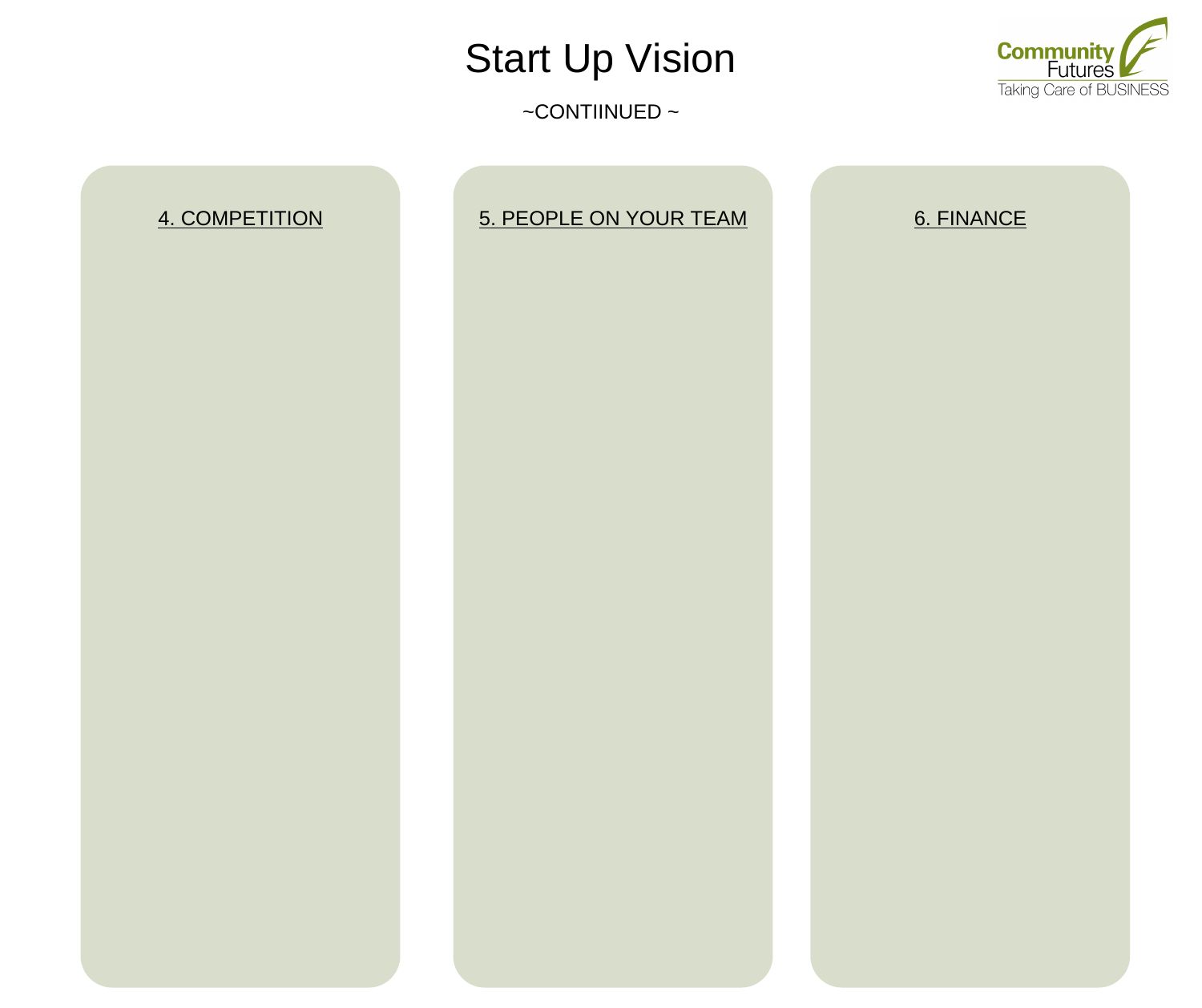## Start Up Vision

 $\sim$ CONTIINUED  $\sim$